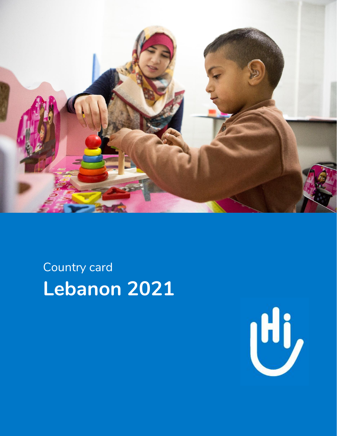

## Country card **Lebanon 2021**

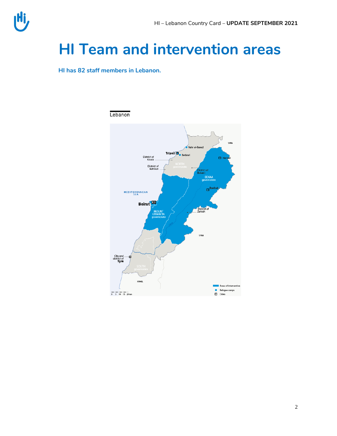## **HI Team and intervention areas**

**HI has 82 staff members in Lebanon.** 

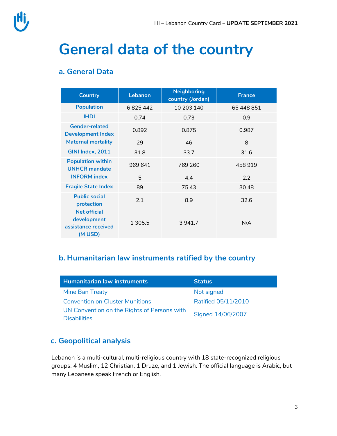## **General data of the country**

#### **a. General Data**

| <b>Country</b>                                                       | Lebanon   | <b>Neighboring</b><br>country (Jordan) | <b>France</b> |
|----------------------------------------------------------------------|-----------|----------------------------------------|---------------|
| <b>Population</b>                                                    | 6825442   | 10 203 140                             | 65 448 851    |
| <b>IHDI</b>                                                          | 0.74      | 0.73                                   | 0.9           |
| <b>Gender-related</b><br><b>Development Index</b>                    | 0.892     | 0.875                                  | 0.987         |
| <b>Maternal mortality</b>                                            | 29        | 46                                     | 8             |
| GINI Index, 2011                                                     | 31.8      | 33.7                                   | 31.6          |
| <b>Population within</b><br><b>UNHCR</b> mandate                     | 969 641   | 769 260                                | 458919        |
| <b>INFORM</b> index                                                  | 5         | 4.4                                    | 2.2           |
| <b>Fragile State Index</b>                                           | 89        | 75.43                                  | 30.48         |
| <b>Public social</b><br>protection                                   | 2.1       | 8.9                                    | 32.6          |
| <b>Net official</b><br>development<br>assistance received<br>(M USD) | 1 3 0 5.5 | 3 941.7                                | N/A           |

#### **b. Humanitarian law instruments ratified by the country**

| <b>Humanitarian law instruments</b>                                | <b>Status</b>              |
|--------------------------------------------------------------------|----------------------------|
| Mine Ban Treaty                                                    | Not signed                 |
| <b>Convention on Cluster Munitions</b>                             | <b>Ratified 05/11/2010</b> |
| UN Convention on the Rights of Persons with<br><b>Disabilities</b> | Signed 14/06/2007          |

#### **c. Geopolitical analysis**

Lebanon is a multi-cultural, multi-religious country with 18 state-recognized religious groups: 4 Muslim, 12 Christian, 1 Druze, and 1 Jewish. The official language is Arabic, but many Lebanese speak French or English.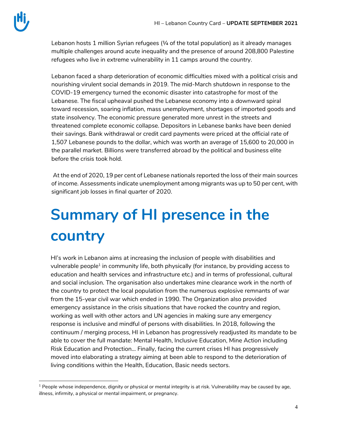l

Lebanon hosts 1 million Syrian refugees  $\frac{1}{4}$  of the total population) as it already manages multiple challenges around acute inequality and the presence of around 208,800 Palestine refugees who live in extreme vulnerability in 11 camps around the country.

Lebanon faced a sharp deterioration of economic difficulties mixed with a political crisis and nourishing virulent social demands in 2019. The mid-March shutdown in response to the COVID-19 emergency turned the economic disaster into catastrophe for most of the Lebanese. The fiscal upheaval pushed the Lebanese economy into a downward spiral toward recession, soaring inflation, mass unemployment, shortages of imported goods and state insolvency. The economic pressure generated more unrest in the streets and threatened complete economic collapse. Depositors in Lebanese banks have been denied their savings. Bank withdrawal or credit card payments were priced at the official rate of 1,507 Lebanese pounds to the dollar, which was worth an average of 15,600 to 20,000 in the parallel market. Billions were transferred abroad by the political and business elite before the crisis took hold.

At the end of 2020, 19 per cent of Lebanese nationals reported the loss of their main sources of income. Assessments indicate unemployment among migrants was up to 50 per cent, with significant job losses in final quarter of 2020.

# **Summary of HI presence in the country**

HI's work in Lebanon aims at increasing the inclusion of people with disabilities and vulnerable people $^{\text{1}}$  in community life, both physically (for instance, by providing access to education and health services and infrastructure etc.) and in terms of professional, cultural and social inclusion. The organisation also undertakes mine clearance work in the north of the country to protect the local population from the numerous explosive remnants of war from the 15-year civil war which ended in 1990. The Organization also provided emergency assistance in the crisis situations that have rocked the country and region, working as well with other actors and UN agencies in making sure any emergency response is inclusive and mindful of persons with disabilities. In 2018, following the continuum / merging process, HI in Lebanon has progressively readjusted its mandate to be able to cover the full mandate: Mental Health, Inclusive Education, Mine Action including Risk Education and Protection... Finally, facing the current crises HI has progressively moved into elaborating a strategy aiming at been able to respond to the deterioration of living conditions within the Health, Education, Basic needs sectors.

 $<sup>1</sup>$  People whose independence, dignity or physical or mental integrity is at risk. Vulnerability may be caused by age,</sup> illness, infirmity, a physical or mental impairment, or pregnancy.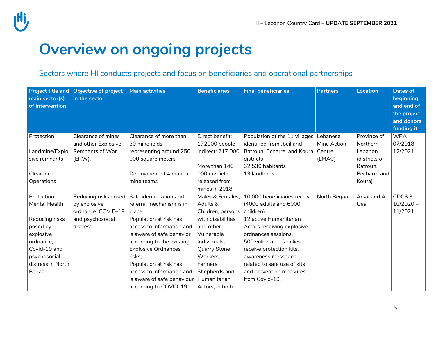## **Overview on ongoing projects**

#### Sectors where HI conducts projects and focus on beneficiaries and operational partnerships

| <b>Project title and</b><br>main sector(s)<br>of intervention | Objective of project  Main activities<br>in the sector |                             | <b>Beneficiaries</b> | <b>Final beneficiaries</b>    | <b>Partners</b> | <b>Location</b> | <b>Dates of</b><br>beginning<br>and end of<br>the project<br>and donors<br>funding it |
|---------------------------------------------------------------|--------------------------------------------------------|-----------------------------|----------------------|-------------------------------|-----------------|-----------------|---------------------------------------------------------------------------------------|
| Protection                                                    | Clearance of mines                                     | Clearance of more than      | Direct benefit:      | Population of the 11 villages | Lebanese        | Province of     | <b>WRA</b>                                                                            |
|                                                               | and other Explosive                                    | 30 minefields               | 172000 people        | identified from Jbeil and     | Mine Action     | Northern        | 07/2018                                                                               |
| Landmine/Explo                                                | Remnants of War                                        | representing around 250     | indirect: 217 000    | Batroun, Bcharre and Koura    | Centre          | Lebanon         | 12/2021                                                                               |
| sive remnants                                                 | (ERW).                                                 | 000 square meters           |                      | districts                     | (LMAC)          | (districts of   |                                                                                       |
|                                                               |                                                        |                             | More than 140        | 32,530 habitants              |                 | Batroun,        |                                                                                       |
| Clearance                                                     |                                                        | Deployment of 4 manual      | 000 m2 field         | 13 landlords                  |                 | Becharre and    |                                                                                       |
| Operations                                                    |                                                        | mine teams                  | released from        |                               |                 | Koura)          |                                                                                       |
|                                                               |                                                        |                             | mines in 2018        |                               |                 |                 |                                                                                       |
| Protection                                                    | Reducing risks posed                                   | Safe identification and     | Males & Females,     | 10,000 beneficiaries receive  | North Begaa     | Arsal and Al    | CDCS <sub>3</sub>                                                                     |
| Mental Health                                                 | by explosive                                           | referral mechanism is in    | Adults &             | (4000 adults and 6000         |                 | Qaa             | $10/2020 -$                                                                           |
|                                                               | ordnance, COVID-19                                     | place:                      | Children, persons    | children)                     |                 |                 | 11/2021                                                                               |
| Reducing risks                                                | and psychosocial                                       | Population at risk has      | with disabilities    | 12 active Humanitarian        |                 |                 |                                                                                       |
| posed by                                                      | distress                                               | access to information and   | and other            | Actors receiving explosive    |                 |                 |                                                                                       |
| explosive                                                     |                                                        | is aware of safe behavior   | Vulnerable           | ordnances sessions.           |                 |                 |                                                                                       |
| ordnance,                                                     |                                                        | according to the existing   | Individuals,         | 500 vulnerable families       |                 |                 |                                                                                       |
| Covid-19 and                                                  |                                                        | <b>Explosive Ordnances'</b> | <b>Quarry Stone</b>  | receive protection kits,      |                 |                 |                                                                                       |
| psychosocial                                                  |                                                        | risks:                      | Workers,             | awareness messages            |                 |                 |                                                                                       |
| distress in North                                             |                                                        | Population at risk has      | Farmers.             | related to safe use of kits   |                 |                 |                                                                                       |
| Beqaa                                                         |                                                        | access to information and   | Shepherds and        | and prevention measures       |                 |                 |                                                                                       |
|                                                               |                                                        | is aware of safe behaviour  | Humanitarian         | from Covid-19.                |                 |                 |                                                                                       |
|                                                               |                                                        | according to COVID-19       | Actors, in both      |                               |                 |                 |                                                                                       |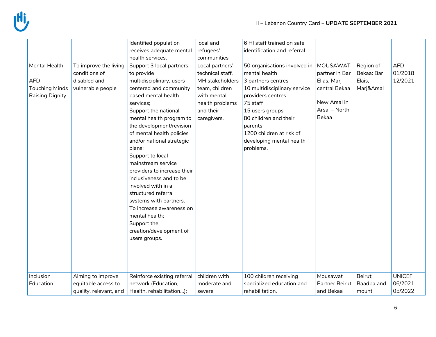|                                                                         |                                                                             | Identified population                                                                                                                                                                                                                                                                      | local and                                                                                                                              | 6 HI staff trained on safe                                                                                                                                                                                                                          |                                                                                                       |                                                 |                                  |
|-------------------------------------------------------------------------|-----------------------------------------------------------------------------|--------------------------------------------------------------------------------------------------------------------------------------------------------------------------------------------------------------------------------------------------------------------------------------------|----------------------------------------------------------------------------------------------------------------------------------------|-----------------------------------------------------------------------------------------------------------------------------------------------------------------------------------------------------------------------------------------------------|-------------------------------------------------------------------------------------------------------|-------------------------------------------------|----------------------------------|
|                                                                         |                                                                             | receives adequate mental                                                                                                                                                                                                                                                                   | refugees'                                                                                                                              | identification and referral                                                                                                                                                                                                                         |                                                                                                       |                                                 |                                  |
|                                                                         |                                                                             | health services.                                                                                                                                                                                                                                                                           | communities                                                                                                                            |                                                                                                                                                                                                                                                     |                                                                                                       |                                                 |                                  |
| Mental Health<br><b>AFD</b><br><b>Touching Minds</b><br>Raising Dignity | To improve the living<br>conditions of<br>disabled and<br>vulnerable people | Support 3 local partners<br>to provide<br>multidisciplinary, users<br>centered and community<br>based mental health<br>services;<br>Support the national<br>mental health program to<br>the development/revision<br>of mental health policies<br>and/or national strategic                 | Local partners'<br>technical staff,<br>MH stakeholders<br>team, children<br>with mental<br>health problems<br>and their<br>caregivers. | 50 organisations involved in<br>mental health<br>3 partners centres<br>10 multidisciplinary service<br>providers centres<br>75 staff<br>15 users groups<br>80 children and their<br>parents<br>1200 children at risk of<br>developing mental health | MOUSAWAT<br>partner in Bar<br>Elias, Marj-<br>central Bekaa<br>New Arsal in<br>Arsal - North<br>Bekaa | Region of<br>Bekaa: Bar<br>Elais,<br>Marj&Arsal | <b>AFD</b><br>01/2018<br>12/2021 |
|                                                                         |                                                                             | plans;<br>Support to local<br>mainstream service<br>providers to increase their<br>inclusiveness and to be<br>involved with in a<br>structured referral<br>systems with partners.<br>To increase awareness on<br>mental health;<br>Support the<br>creation/development of<br>users groups. |                                                                                                                                        | problems.                                                                                                                                                                                                                                           |                                                                                                       |                                                 |                                  |
| Inclusion                                                               | Aiming to improve                                                           | Reinforce existing referral                                                                                                                                                                                                                                                                | children with                                                                                                                          | 100 children receiving                                                                                                                                                                                                                              | Mousawat                                                                                              | Beirut;                                         | <b>UNICEF</b>                    |
| Education                                                               | equitable access to                                                         | network (Education,                                                                                                                                                                                                                                                                        | moderate and                                                                                                                           | specialized education and                                                                                                                                                                                                                           | Partner Beirut                                                                                        | Baadba and                                      | 06/2021                          |
|                                                                         | quality, relevant, and                                                      | Health, rehabilitation);                                                                                                                                                                                                                                                                   | severe                                                                                                                                 | rehabilitation.                                                                                                                                                                                                                                     | and Bekaa                                                                                             | mount                                           | 05/2022                          |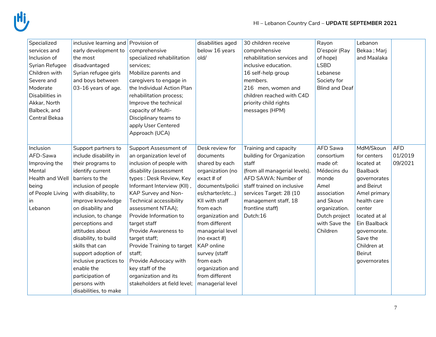| Specialized<br>services and<br>Inclusion of<br>Syrian Refugee<br>Children with<br>Severe and<br>Moderate<br>Disabilities in<br>Akkar, North<br>Balbeck, and<br>Central Bekaa | inclusive learning and Provision of<br>early development to<br>the most<br>disadvantaged<br>Syrian refugee girls<br>and boys between<br>03-16 years of age.                                                                                                                                                                                                                                                                           | comprehensive<br>specialized rehabilitation<br>services;<br>Mobilize parents and<br>caregivers to engage in<br>the Individual Action Plan<br>rehabilitation process;<br>Improve the technical<br>capacity of Multi-<br>Disciplinary teams to                                                                                                                                                                                                                            | disabilities aged<br>below 16 years<br>old/                                                                                                                                                                                                                                                                                               | 30 children receive<br>comprehensive<br>rehabilitation services and<br>inclusive education.<br>16 self-help group<br>members.<br>216 men, women and<br>children reached with C4D<br>priority child rights<br>messages (HPM)          | Rayon<br>D'espoir (Ray<br>of hope)<br><b>LSBD</b><br>Lebanese<br>Society for<br><b>Blind and Deaf</b>                                                         | Lebanon<br>Bekaa; Marj<br>and Maalaka                                                                                                                                                                                                         |                                  |
|------------------------------------------------------------------------------------------------------------------------------------------------------------------------------|---------------------------------------------------------------------------------------------------------------------------------------------------------------------------------------------------------------------------------------------------------------------------------------------------------------------------------------------------------------------------------------------------------------------------------------|-------------------------------------------------------------------------------------------------------------------------------------------------------------------------------------------------------------------------------------------------------------------------------------------------------------------------------------------------------------------------------------------------------------------------------------------------------------------------|-------------------------------------------------------------------------------------------------------------------------------------------------------------------------------------------------------------------------------------------------------------------------------------------------------------------------------------------|--------------------------------------------------------------------------------------------------------------------------------------------------------------------------------------------------------------------------------------|---------------------------------------------------------------------------------------------------------------------------------------------------------------|-----------------------------------------------------------------------------------------------------------------------------------------------------------------------------------------------------------------------------------------------|----------------------------------|
|                                                                                                                                                                              |                                                                                                                                                                                                                                                                                                                                                                                                                                       | apply User Centered<br>Approach (UCA)                                                                                                                                                                                                                                                                                                                                                                                                                                   |                                                                                                                                                                                                                                                                                                                                           |                                                                                                                                                                                                                                      |                                                                                                                                                               |                                                                                                                                                                                                                                               |                                  |
| Inclusion<br>AFD-Sawa<br>Improving the<br>Mental<br>Health and Well<br>being<br>of People Living<br>In<br>Lebanon                                                            | Support partners to<br>include disability in<br>their programs to<br>identify current<br>barriers to the<br>inclusion of people<br>with disability, to<br>improve knowledge<br>on disability and<br>inclusion, to change<br>perceptions and<br>attitudes about<br>disability, to build<br>skills that can<br>support adoption of<br>inclusive practices to<br>enable the<br>participation of<br>persons with<br>disabilities, to make | Support Assessment of<br>an organization level of<br>inclusion of people with<br>disability (assessment<br>types: Desk Review, Key<br>Informant Interview (KII),<br>KAP Survey and Non-<br>Technical accessibility<br>assessment NTAA);<br>Provide Information to<br>target staff<br>Provide Awareness to<br>target staff;<br>Provide Training to target<br>staff;<br>Provide Advocacy with<br>key staff of the<br>organization and its<br>stakeholders at field level; | Desk review for<br>documents<br>shared by each<br>organization (no<br>exact # of<br>documents/polici<br>es/charter/etc)<br>KII with staff<br>from each<br>organization and<br>from different<br>managerial level<br>(no exact $#$ )<br>KAP online<br>survey (staff<br>from each<br>organization and<br>from different<br>managerial level | Training and capacity<br>building for Organization<br>staff<br>(from all managerial levels).<br>AFD SAWA: Number of<br>staff trained on inclusive<br>services Target: 28 (10<br>management staff, 18<br>frontline staff)<br>Dutch:16 | AFD Sawa<br>consortium<br>made of:<br>Médecins du<br>monde<br>Amel<br>association<br>and Skoun<br>organization.<br>Dutch project<br>with Save the<br>Children | MdM/Skoun<br>for centers<br>located at<br><b>Baalback</b><br>governorates<br>and Beirut<br>Amel primary<br>health care<br>center<br>located at al<br>Ein Baalback<br>governorate.<br>Save the<br>Children at<br><b>Beirut</b><br>governorates | <b>AFD</b><br>01/2019<br>09/2021 |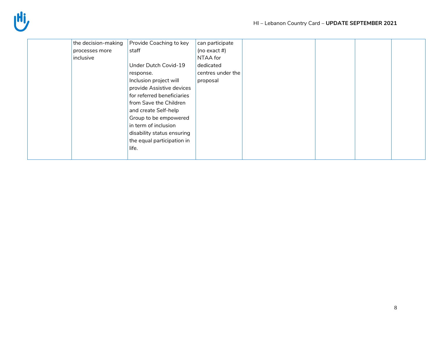| the decision-making | Provide Coaching to key    | can participate   |  |  |
|---------------------|----------------------------|-------------------|--|--|
| processes more      | staff                      | (no exact #)      |  |  |
| inclusive           |                            | NTAA for          |  |  |
|                     | Under Dutch Covid-19       | dedicated         |  |  |
|                     | response.                  | centres under the |  |  |
|                     | Inclusion project will     | proposal          |  |  |
|                     | provide Assistive devices  |                   |  |  |
|                     | for referred beneficiaries |                   |  |  |
|                     | from Save the Children     |                   |  |  |
|                     | and create Self-help       |                   |  |  |
|                     | Group to be empowered      |                   |  |  |
|                     | in term of inclusion       |                   |  |  |
|                     | disability status ensuring |                   |  |  |
|                     | the equal participation in |                   |  |  |
|                     | life.                      |                   |  |  |
|                     |                            |                   |  |  |
|                     |                            |                   |  |  |